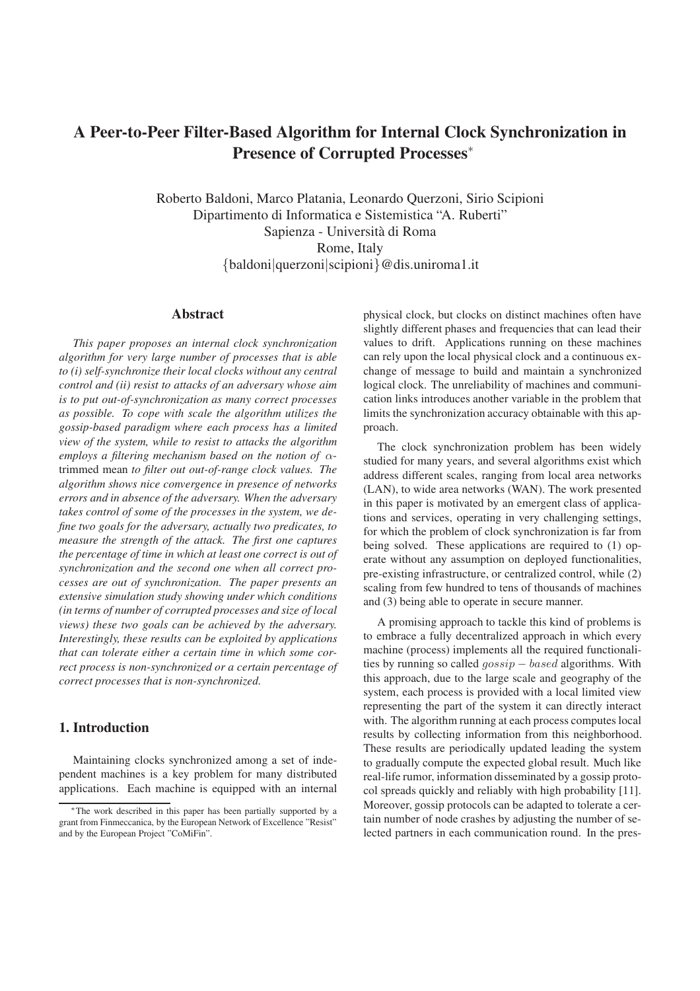# A Peer-to-Peer Filter-Based Algorithm for Internal Clock Synchronization in Presence of Corrupted Processes<sup>∗</sup>

Roberto Baldoni, Marco Platania, Leonardo Querzoni, Sirio Scipioni Dipartimento di Informatica e Sistemistica "A. Ruberti" Sapienza - Università di Roma Rome, Italy {baldoni|querzoni|scipioni}@dis.uniroma1.it

#### Abstract

*This paper proposes an internal clock synchronization algorithm for very large number of processes that is able to (i) self-synchronize their local clocks without any central control and (ii) resist to attacks of an adversary whose aim is to put out-of-synchronization as many correct processes as possible. To cope with scale the algorithm utilizes the gossip-based paradigm where each process has a limited view of the system, while to resist to attacks the algorithm employs a filtering mechanism based on the notion of* αtrimmed mean *to filter out out-of-range clock values. The algorithm shows nice convergence in presence of networks errors and in absence of the adversary. When the adversary takes control of some of the processes in the system, we define two goals for the adversary, actually two predicates, to measure the strength of the attack. The first one captures the percentage of time in which at least one correct is out of synchronization and the second one when all correct processes are out of synchronization. The paper presents an extensive simulation study showing under which conditions (in terms of number of corrupted processes and size of local views) these two goals can be achieved by the adversary. Interestingly, these results can be exploited by applications that can tolerate either a certain time in which some correct process is non-synchronized or a certain percentage of correct processes that is non-synchronized.*

## 1. Introduction

Maintaining clocks synchronized among a set of independent machines is a key problem for many distributed applications. Each machine is equipped with an internal physical clock, but clocks on distinct machines often have slightly different phases and frequencies that can lead their values to drift. Applications running on these machines can rely upon the local physical clock and a continuous exchange of message to build and maintain a synchronized logical clock. The unreliability of machines and communication links introduces another variable in the problem that limits the synchronization accuracy obtainable with this approach.

The clock synchronization problem has been widely studied for many years, and several algorithms exist which address different scales, ranging from local area networks (LAN), to wide area networks (WAN). The work presented in this paper is motivated by an emergent class of applications and services, operating in very challenging settings, for which the problem of clock synchronization is far from being solved. These applications are required to (1) operate without any assumption on deployed functionalities, pre-existing infrastructure, or centralized control, while (2) scaling from few hundred to tens of thousands of machines and (3) being able to operate in secure manner.

A promising approach to tackle this kind of problems is to embrace a fully decentralized approach in which every machine (process) implements all the required functionalities by running so called *gossip* − based algorithms. With this approach, due to the large scale and geography of the system, each process is provided with a local limited view representing the part of the system it can directly interact with. The algorithm running at each process computes local results by collecting information from this neighborhood. These results are periodically updated leading the system to gradually compute the expected global result. Much like real-life rumor, information disseminated by a gossip protocol spreads quickly and reliably with high probability [11]. Moreover, gossip protocols can be adapted to tolerate a certain number of node crashes by adjusting the number of selected partners in each communication round. In the pres-

<sup>∗</sup>The work described in this paper has been partially supported by a grant from Finmeccanica, by the European Network of Excellence "Resist" and by the European Project "CoMiFin".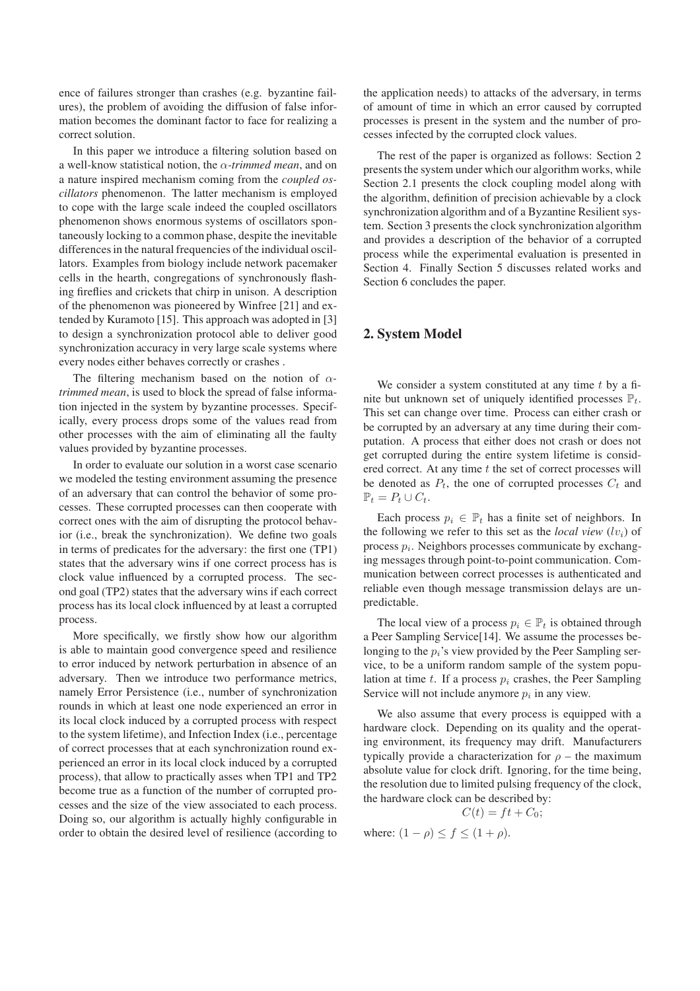ence of failures stronger than crashes (e.g. byzantine failures), the problem of avoiding the diffusion of false information becomes the dominant factor to face for realizing a correct solution.

In this paper we introduce a filtering solution based on a well-know statistical notion, the α*-trimmed mean*, and on a nature inspired mechanism coming from the *coupled oscillators* phenomenon. The latter mechanism is employed to cope with the large scale indeed the coupled oscillators phenomenon shows enormous systems of oscillators spontaneously locking to a common phase, despite the inevitable differences in the natural frequencies of the individual oscillators. Examples from biology include network pacemaker cells in the hearth, congregations of synchronously flashing fireflies and crickets that chirp in unison. A description of the phenomenon was pioneered by Winfree [21] and extended by Kuramoto [15]. This approach was adopted in [3] to design a synchronization protocol able to deliver good synchronization accuracy in very large scale systems where every nodes either behaves correctly or crashes .

The filtering mechanism based on the notion of α*trimmed mean*, is used to block the spread of false information injected in the system by byzantine processes. Specifically, every process drops some of the values read from other processes with the aim of eliminating all the faulty values provided by byzantine processes.

In order to evaluate our solution in a worst case scenario we modeled the testing environment assuming the presence of an adversary that can control the behavior of some processes. These corrupted processes can then cooperate with correct ones with the aim of disrupting the protocol behavior (i.e., break the synchronization). We define two goals in terms of predicates for the adversary: the first one (TP1) states that the adversary wins if one correct process has is clock value influenced by a corrupted process. The second goal (TP2) states that the adversary wins if each correct process has its local clock influenced by at least a corrupted process.

More specifically, we firstly show how our algorithm is able to maintain good convergence speed and resilience to error induced by network perturbation in absence of an adversary. Then we introduce two performance metrics, namely Error Persistence (i.e., number of synchronization rounds in which at least one node experienced an error in its local clock induced by a corrupted process with respect to the system lifetime), and Infection Index (i.e., percentage of correct processes that at each synchronization round experienced an error in its local clock induced by a corrupted process), that allow to practically asses when TP1 and TP2 become true as a function of the number of corrupted processes and the size of the view associated to each process. Doing so, our algorithm is actually highly configurable in order to obtain the desired level of resilience (according to the application needs) to attacks of the adversary, in terms of amount of time in which an error caused by corrupted processes is present in the system and the number of processes infected by the corrupted clock values.

The rest of the paper is organized as follows: Section 2 presents the system under which our algorithm works, while Section 2.1 presents the clock coupling model along with the algorithm, definition of precision achievable by a clock synchronization algorithm and of a Byzantine Resilient system. Section 3 presents the clock synchronization algorithm and provides a description of the behavior of a corrupted process while the experimental evaluation is presented in Section 4. Finally Section 5 discusses related works and Section 6 concludes the paper.

## 2. System Model

We consider a system constituted at any time  $t$  by a finite but unknown set of uniquely identified processes  $\mathbb{P}_t$ . This set can change over time. Process can either crash or be corrupted by an adversary at any time during their computation. A process that either does not crash or does not get corrupted during the entire system lifetime is considered correct. At any time  $t$  the set of correct processes will be denoted as  $P_t$ , the one of corrupted processes  $C_t$  and  $\mathbb{P}_t = P_t \cup C_t.$ 

Each process  $p_i \in \mathbb{P}_t$  has a finite set of neighbors. In the following we refer to this set as the *local view*  $(lv_i)$  of process  $p_i$ . Neighbors processes communicate by exchanging messages through point-to-point communication. Communication between correct processes is authenticated and reliable even though message transmission delays are unpredictable.

The local view of a process  $p_i \in \mathbb{P}_t$  is obtained through a Peer Sampling Service[14]. We assume the processes belonging to the  $p_i$ 's view provided by the Peer Sampling service, to be a uniform random sample of the system population at time t. If a process  $p_i$  crashes, the Peer Sampling Service will not include anymore  $p_i$  in any view.

We also assume that every process is equipped with a hardware clock. Depending on its quality and the operating environment, its frequency may drift. Manufacturers typically provide a characterization for  $\rho$  – the maximum absolute value for clock drift. Ignoring, for the time being, the resolution due to limited pulsing frequency of the clock, the hardware clock can be described by:

$$
C(t) = ft + C_0;
$$

where:  $(1 - \rho) < f < (1 + \rho)$ .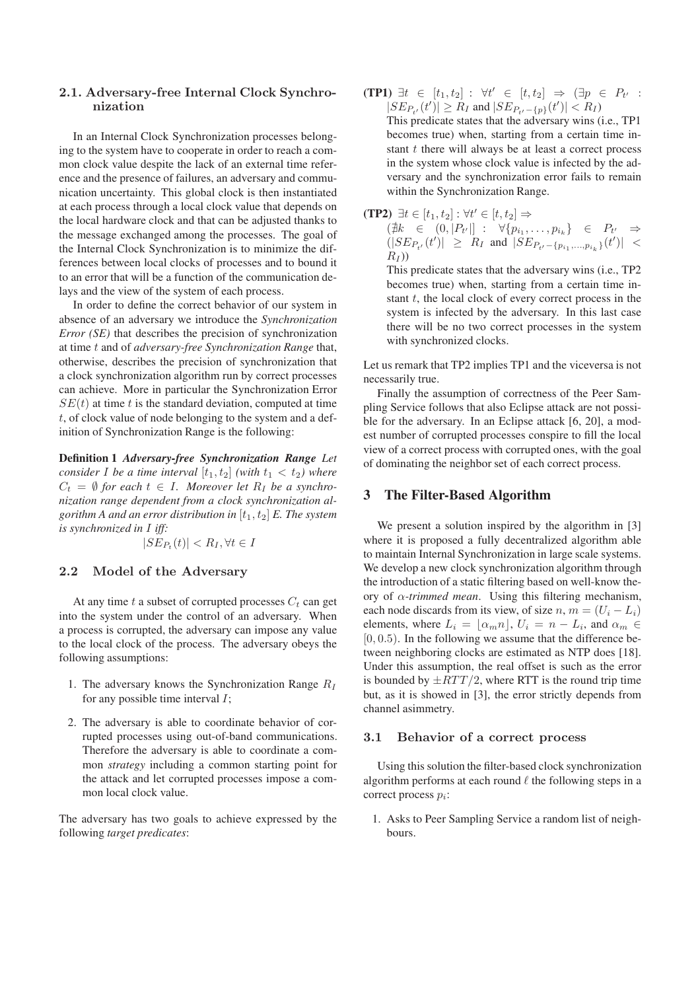#### **2.1. Adversary-free Internal Clock Synchronization**

In an Internal Clock Synchronization processes belonging to the system have to cooperate in order to reach a common clock value despite the lack of an external time reference and the presence of failures, an adversary and communication uncertainty. This global clock is then instantiated at each process through a local clock value that depends on the local hardware clock and that can be adjusted thanks to the message exchanged among the processes. The goal of the Internal Clock Synchronization is to minimize the differences between local clocks of processes and to bound it to an error that will be a function of the communication delays and the view of the system of each process.

In order to define the correct behavior of our system in absence of an adversary we introduce the *Synchronization Error (SE)* that describes the precision of synchronization at time t and of *adversary-free Synchronization Range* that, otherwise, describes the precision of synchronization that a clock synchronization algorithm run by correct processes can achieve. More in particular the Synchronization Error  $SE(t)$  at time t is the standard deviation, computed at time t, of clock value of node belonging to the system and a definition of Synchronization Range is the following:

Definition 1 *Adversary-free Synchronization Range Let consider* I *be a time interval*  $[t_1, t_2]$  *(with*  $t_1 < t_2$ *) where*  $C_t = \emptyset$  for each  $t \in I$ . Moreover let  $R_I$  be a synchro*nization range dependent from a clock synchronization algorithm A and an error distribution in*  $[t_1, t_2]$  *E. The system is synchronized in* I *iff:*

$$
|SE_{P_t}(t)| < R_I, \forall t \in I
$$

#### **2.2 Model of the Adversary**

At any time t a subset of corrupted processes  $C_t$  can get into the system under the control of an adversary. When a process is corrupted, the adversary can impose any value to the local clock of the process. The adversary obeys the following assumptions:

- 1. The adversary knows the Synchronization Range  $R_I$ for any possible time interval  $I$ ;
- 2. The adversary is able to coordinate behavior of corrupted processes using out-of-band communications. Therefore the adversary is able to coordinate a common *strategy* including a common starting point for the attack and let corrupted processes impose a common local clock value.

The adversary has two goals to achieve expressed by the following *target predicates*:

 $(TP1) \exists t \in [t_1, t_2]: \forall t' \in [t, t_2] \Rightarrow (\exists p \in P_{t'} :$  $|SE_{P_{t'}}(t')| \ge R_I$  and  $|SE_{P_{t'}-\{p\}}(t')| < R_I$ 

This predicate states that the adversary wins (i.e., TP1 becomes true) when, starting from a certain time instant  $t$  there will always be at least a correct process in the system whose clock value is infected by the adversary and the synchronization error fails to remain within the Synchronization Range.

(TP2) 
$$
\exists t \in [t_1, t_2] : \forall t' \in [t, t_2] \Rightarrow
$$
  
\n $(\nexists k \in (0, |P_{t'}|] : \forall \{p_{i_1}, \ldots, p_{i_k}\} \in P_{t'} \Rightarrow$   
\n $(|SE_{P_{t'}}(t')| \geq R_I \text{ and } |SE_{P_{t'}-\{p_{i_1}, \ldots, p_{i_k}\}}(t')| < R_I)$ 

This predicate states that the adversary wins (i.e., TP2 becomes true) when, starting from a certain time instant  $t$ , the local clock of every correct process in the system is infected by the adversary. In this last case there will be no two correct processes in the system with synchronized clocks.

Let us remark that TP2 implies TP1 and the viceversa is not necessarily true.

Finally the assumption of correctness of the Peer Sampling Service follows that also Eclipse attack are not possible for the adversary. In an Eclipse attack [6, 20], a modest number of corrupted processes conspire to fill the local view of a correct process with corrupted ones, with the goal of dominating the neighbor set of each correct process.

#### 3 The Filter-Based Algorithm

We present a solution inspired by the algorithm in [3] where it is proposed a fully decentralized algorithm able to maintain Internal Synchronization in large scale systems. We develop a new clock synchronization algorithm through the introduction of a static filtering based on well-know theory of α*-trimmed mean*. Using this filtering mechanism, each node discards from its view, of size  $n, m = (U_i - L_i)$ elements, where  $L_i = |\alpha_m n|$ ,  $U_i = n - L_i$ , and  $\alpha_m \in$  $[0, 0.5)$ . In the following we assume that the difference between neighboring clocks are estimated as NTP does [18]. Under this assumption, the real offset is such as the error is bounded by  $\pm RTT/2$ , where RTT is the round trip time but, as it is showed in [3], the error strictly depends from channel asimmetry.

#### **3.1 Behavior of a correct process**

Using this solution the filter-based clock synchronization algorithm performs at each round  $\ell$  the following steps in a correct process  $p_i$ :

1. Asks to Peer Sampling Service a random list of neighbours.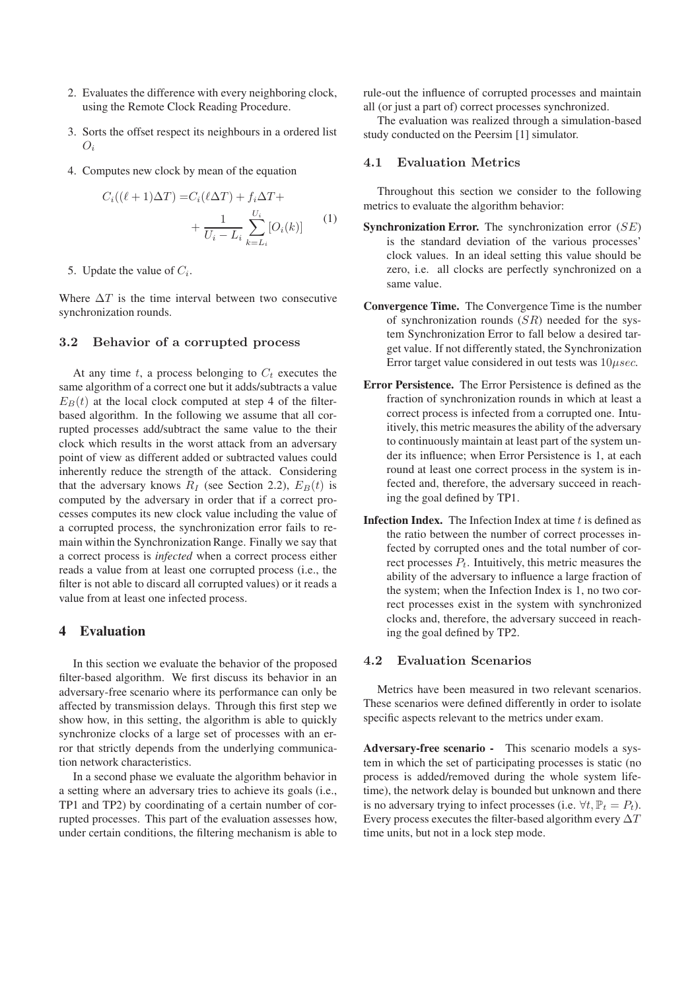- 2. Evaluates the difference with every neighboring clock, using the Remote Clock Reading Procedure.
- 3. Sorts the offset respect its neighbours in a ordered list  $O_i$
- 4. Computes new clock by mean of the equation

$$
C_i((\ell+1)\Delta T) = C_i(\ell \Delta T) + f_i \Delta T +
$$
  
+ 
$$
\frac{1}{U_i - L_i} \sum_{k=L_i}^{U_i} [O_i(k)] \tag{1}
$$

5. Update the value of  $C_i$ .

Where  $\Delta T$  is the time interval between two consecutive synchronization rounds.

### **3.2 Behavior of a corrupted process**

At any time  $t$ , a process belonging to  $C_t$  executes the same algorithm of a correct one but it adds/subtracts a value  $E_B(t)$  at the local clock computed at step 4 of the filterbased algorithm. In the following we assume that all corrupted processes add/subtract the same value to the their clock which results in the worst attack from an adversary point of view as different added or subtracted values could inherently reduce the strength of the attack. Considering that the adversary knows  $R_I$  (see Section 2.2),  $E_B(t)$  is computed by the adversary in order that if a correct processes computes its new clock value including the value of a corrupted process, the synchronization error fails to remain within the Synchronization Range. Finally we say that a correct process is *infected* when a correct process either reads a value from at least one corrupted process (i.e., the filter is not able to discard all corrupted values) or it reads a value from at least one infected process.

## 4 Evaluation

In this section we evaluate the behavior of the proposed filter-based algorithm. We first discuss its behavior in an adversary-free scenario where its performance can only be affected by transmission delays. Through this first step we show how, in this setting, the algorithm is able to quickly synchronize clocks of a large set of processes with an error that strictly depends from the underlying communication network characteristics.

In a second phase we evaluate the algorithm behavior in a setting where an adversary tries to achieve its goals (i.e., TP1 and TP2) by coordinating of a certain number of corrupted processes. This part of the evaluation assesses how, under certain conditions, the filtering mechanism is able to rule-out the influence of corrupted processes and maintain all (or just a part of) correct processes synchronized.

The evaluation was realized through a simulation-based study conducted on the Peersim [1] simulator.

#### **4.1 Evaluation Metrics**

Throughout this section we consider to the following metrics to evaluate the algorithm behavior:

- **Synchronization Error.** The synchronization error  $(SE)$ is the standard deviation of the various processes' clock values. In an ideal setting this value should be zero, i.e. all clocks are perfectly synchronized on a same value.
- Convergence Time. The Convergence Time is the number of synchronization rounds  $(SR)$  needed for the system Synchronization Error to fall below a desired target value. If not differently stated, the Synchronization Error target value considered in out tests was  $10\mu sec$ .
- Error Persistence. The Error Persistence is defined as the fraction of synchronization rounds in which at least a correct process is infected from a corrupted one. Intuitively, this metric measures the ability of the adversary to continuously maintain at least part of the system under its influence; when Error Persistence is 1, at each round at least one correct process in the system is infected and, therefore, the adversary succeed in reaching the goal defined by TP1.
- **Infection Index.** The Infection Index at time  $t$  is defined as the ratio between the number of correct processes infected by corrupted ones and the total number of correct processes  $P_t$ . Intuitively, this metric measures the ability of the adversary to influence a large fraction of the system; when the Infection Index is 1, no two correct processes exist in the system with synchronized clocks and, therefore, the adversary succeed in reaching the goal defined by TP2.

#### **4.2 Evaluation Scenarios**

Metrics have been measured in two relevant scenarios. These scenarios were defined differently in order to isolate specific aspects relevant to the metrics under exam.

Adversary-free scenario - This scenario models a system in which the set of participating processes is static (no process is added/removed during the whole system lifetime), the network delay is bounded but unknown and there is no adversary trying to infect processes (i.e.  $\forall t, \mathbb{P}_t = P_t$ ). Every process executes the filter-based algorithm every  $\Delta T$ time units, but not in a lock step mode.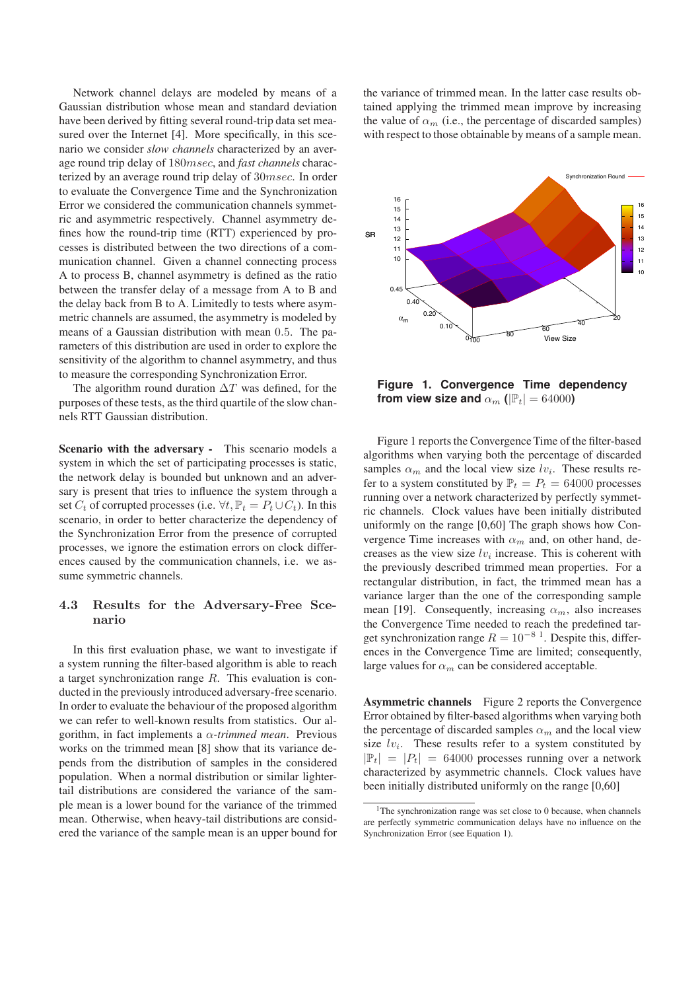Network channel delays are modeled by means of a Gaussian distribution whose mean and standard deviation have been derived by fitting several round-trip data set measured over the Internet [4]. More specifically, in this scenario we consider *slow channels* characterized by an average round trip delay of 180msec, and *fast channels* characterized by an average round trip delay of 30msec. In order to evaluate the Convergence Time and the Synchronization Error we considered the communication channels symmetric and asymmetric respectively. Channel asymmetry defines how the round-trip time (RTT) experienced by processes is distributed between the two directions of a communication channel. Given a channel connecting process A to process B, channel asymmetry is defined as the ratio between the transfer delay of a message from A to B and the delay back from B to A. Limitedly to tests where asymmetric channels are assumed, the asymmetry is modeled by means of a Gaussian distribution with mean 0.5. The parameters of this distribution are used in order to explore the sensitivity of the algorithm to channel asymmetry, and thus to measure the corresponding Synchronization Error.

The algorithm round duration  $\Delta T$  was defined, for the purposes of these tests, as the third quartile of the slow channels RTT Gaussian distribution.

Scenario with the adversary - This scenario models a system in which the set of participating processes is static, the network delay is bounded but unknown and an adversary is present that tries to influence the system through a set  $C_t$  of corrupted processes (i.e.  $\forall t, \mathbb{P}_t = P_t \cup C_t$ ). In this scenario, in order to better characterize the dependency of the Synchronization Error from the presence of corrupted processes, we ignore the estimation errors on clock differences caused by the communication channels, i.e. we assume symmetric channels.

## **4.3 Results for the Adversary-Free Scenario**

In this first evaluation phase, we want to investigate if a system running the filter-based algorithm is able to reach a target synchronization range R. This evaluation is conducted in the previously introduced adversary-free scenario. In order to evaluate the behaviour of the proposed algorithm we can refer to well-known results from statistics. Our algorithm, in fact implements a α*-trimmed mean*. Previous works on the trimmed mean [8] show that its variance depends from the distribution of samples in the considered population. When a normal distribution or similar lightertail distributions are considered the variance of the sample mean is a lower bound for the variance of the trimmed mean. Otherwise, when heavy-tail distributions are considered the variance of the sample mean is an upper bound for

the variance of trimmed mean. In the latter case results obtained applying the trimmed mean improve by increasing the value of  $\alpha_m$  (i.e., the percentage of discarded samples) with respect to those obtainable by means of a sample mean.



**Figure 1. Convergence Time dependency from view size and**  $\alpha_m$  ( $|\mathbb{P}_t| = 64000$ )

Figure 1 reports the Convergence Time of the filter-based algorithms when varying both the percentage of discarded samples  $\alpha_m$  and the local view size  $lv_i$ . These results refer to a system constituted by  $\mathbb{P}_t = P_t = 64000$  processes running over a network characterized by perfectly symmetric channels. Clock values have been initially distributed uniformly on the range [0,60] The graph shows how Convergence Time increases with  $\alpha_m$  and, on other hand, decreases as the view size  $lv_i$  increase. This is coherent with the previously described trimmed mean properties. For a rectangular distribution, in fact, the trimmed mean has a variance larger than the one of the corresponding sample mean [19]. Consequently, increasing  $\alpha_m$ , also increases the Convergence Time needed to reach the predefined target synchronization range  $R = 10^{-8}$ <sup>1</sup>. Despite this, differences in the Convergence Time are limited; consequently, large values for  $\alpha_m$  can be considered acceptable.

Asymmetric channels Figure 2 reports the Convergence Error obtained by filter-based algorithms when varying both the percentage of discarded samples  $\alpha_m$  and the local view size  $lv_i$ . These results refer to a system constituted by  $|\mathbb{P}_t| = |P_t| = 64000$  processes running over a network characterized by asymmetric channels. Clock values have been initially distributed uniformly on the range [0,60]

<sup>&</sup>lt;sup>1</sup>The synchronization range was set close to 0 because, when channels are perfectly symmetric communication delays have no influence on the Synchronization Error (see Equation 1).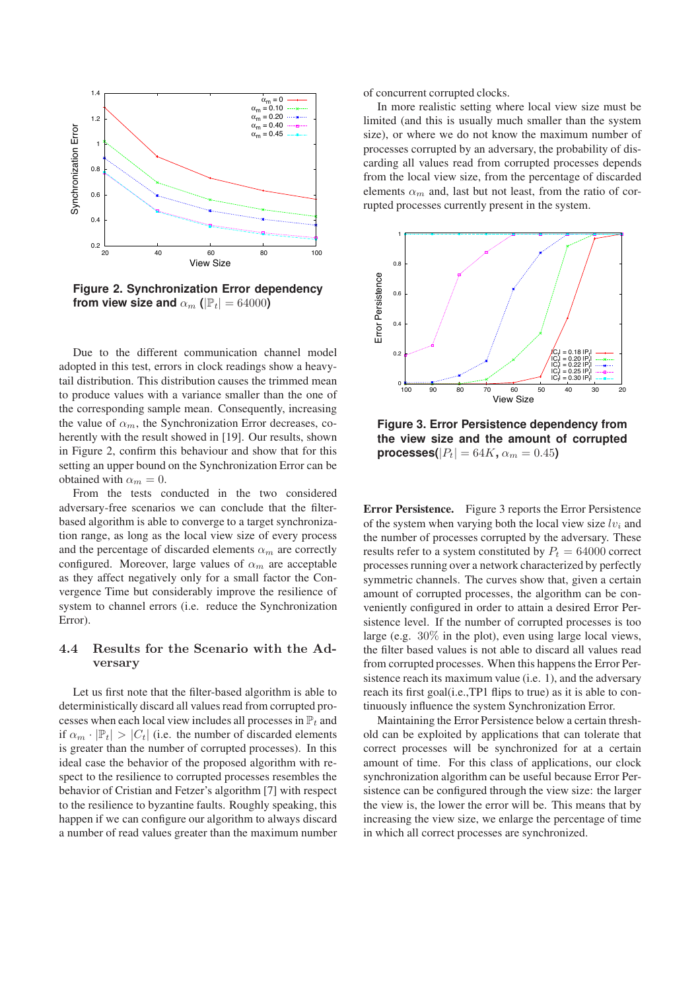

**Figure 2. Synchronization Error dependency from view size and**  $\alpha_m$  ( $\left|\mathbb{P}_t\right| = 64000$ )

Due to the different communication channel model adopted in this test, errors in clock readings show a heavytail distribution. This distribution causes the trimmed mean to produce values with a variance smaller than the one of the corresponding sample mean. Consequently, increasing the value of  $\alpha_m$ , the Synchronization Error decreases, coherently with the result showed in [19]. Our results, shown in Figure 2, confirm this behaviour and show that for this setting an upper bound on the Synchronization Error can be obtained with  $\alpha_m = 0$ .

From the tests conducted in the two considered adversary-free scenarios we can conclude that the filterbased algorithm is able to converge to a target synchronization range, as long as the local view size of every process and the percentage of discarded elements  $\alpha_m$  are correctly configured. Moreover, large values of  $\alpha_m$  are acceptable as they affect negatively only for a small factor the Convergence Time but considerably improve the resilience of system to channel errors (i.e. reduce the Synchronization Error).

# **4.4 Results for the Scenario with the Adversary**

Let us first note that the filter-based algorithm is able to deterministically discard all values read from corrupted processes when each local view includes all processes in  $\mathbb{P}_t$  and if  $\alpha_m \cdot |\mathbb{P}_t| > |C_t|$  (i.e. the number of discarded elements is greater than the number of corrupted processes). In this ideal case the behavior of the proposed algorithm with respect to the resilience to corrupted processes resembles the behavior of Cristian and Fetzer's algorithm [7] with respect to the resilience to byzantine faults. Roughly speaking, this happen if we can configure our algorithm to always discard a number of read values greater than the maximum number of concurrent corrupted clocks.

In more realistic setting where local view size must be limited (and this is usually much smaller than the system size), or where we do not know the maximum number of processes corrupted by an adversary, the probability of discarding all values read from corrupted processes depends from the local view size, from the percentage of discarded elements  $\alpha_m$  and, last but not least, from the ratio of corrupted processes currently present in the system.



**Figure 3. Error Persistence dependency from the view size and the amount of corrupted processes(**| $P_t$ | = 64K,  $\alpha_m = 0.45$ )

Error Persistence. Figure 3 reports the Error Persistence of the system when varying both the local view size  $lv_i$  and the number of processes corrupted by the adversary. These results refer to a system constituted by  $P_t = 64000$  correct processes running over a network characterized by perfectly symmetric channels. The curves show that, given a certain amount of corrupted processes, the algorithm can be conveniently configured in order to attain a desired Error Persistence level. If the number of corrupted processes is too large (e.g. 30% in the plot), even using large local views, the filter based values is not able to discard all values read from corrupted processes. When this happens the Error Persistence reach its maximum value (i.e. 1), and the adversary reach its first goal(i.e., TP1 flips to true) as it is able to continuously influence the system Synchronization Error.

Maintaining the Error Persistence below a certain threshold can be exploited by applications that can tolerate that correct processes will be synchronized for at a certain amount of time. For this class of applications, our clock synchronization algorithm can be useful because Error Persistence can be configured through the view size: the larger the view is, the lower the error will be. This means that by increasing the view size, we enlarge the percentage of time in which all correct processes are synchronized.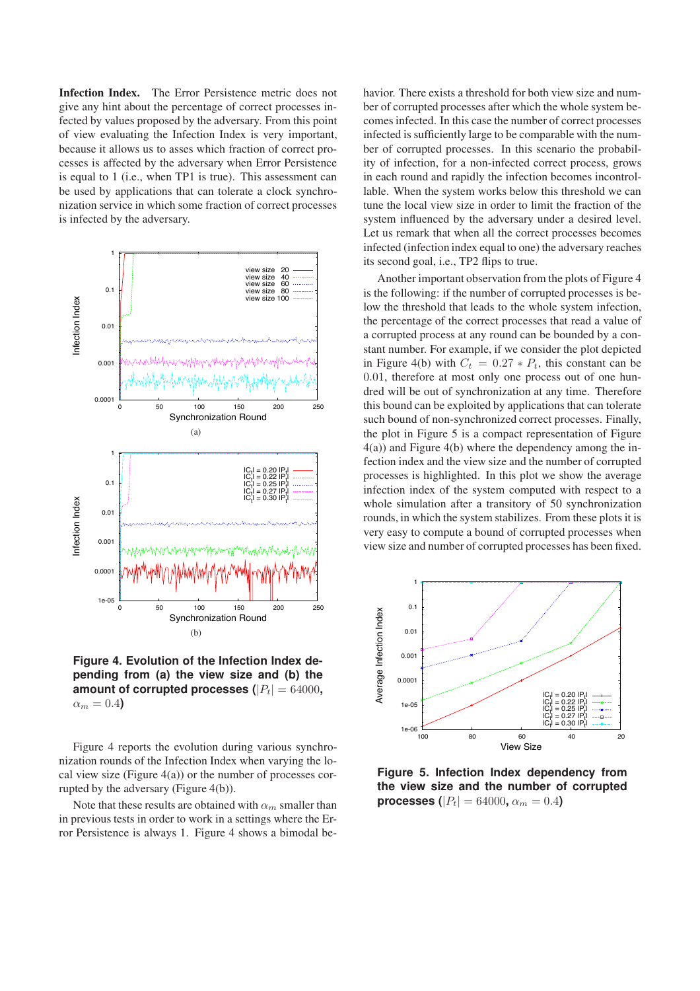Infection Index. The Error Persistence metric does not give any hint about the percentage of correct processes infected by values proposed by the adversary. From this point of view evaluating the Infection Index is very important, because it allows us to asses which fraction of correct processes is affected by the adversary when Error Persistence is equal to 1 (i.e., when TP1 is true). This assessment can be used by applications that can tolerate a clock synchronization service in which some fraction of correct processes is infected by the adversary.



**Figure 4. Evolution of the Infection Index depending from (a) the view size and (b) the amount of corrupted processes (** $|P_t| = 64000$ **,**  $\alpha_m = 0.4$ 

Figure 4 reports the evolution during various synchronization rounds of the Infection Index when varying the local view size (Figure 4(a)) or the number of processes corrupted by the adversary (Figure 4(b)).

Note that these results are obtained with  $\alpha_m$  smaller than in previous tests in order to work in a settings where the Error Persistence is always 1. Figure 4 shows a bimodal behavior. There exists a threshold for both view size and number of corrupted processes after which the whole system becomes infected. In this case the number of correct processes infected is sufficiently large to be comparable with the number of corrupted processes. In this scenario the probability of infection, for a non-infected correct process, grows in each round and rapidly the infection becomes incontrollable. When the system works below this threshold we can tune the local view size in order to limit the fraction of the system influenced by the adversary under a desired level. Let us remark that when all the correct processes becomes infected (infection index equal to one) the adversary reaches its second goal, i.e., TP2 flips to true.

Another important observation from the plots of Figure 4 is the following: if the number of corrupted processes is below the threshold that leads to the whole system infection, the percentage of the correct processes that read a value of a corrupted process at any round can be bounded by a constant number. For example, if we consider the plot depicted in Figure 4(b) with  $C_t = 0.27 * P_t$ , this constant can be 0.01, therefore at most only one process out of one hundred will be out of synchronization at any time. Therefore this bound can be exploited by applications that can tolerate such bound of non-synchronized correct processes. Finally, the plot in Figure 5 is a compact representation of Figure 4(a)) and Figure 4(b) where the dependency among the infection index and the view size and the number of corrupted processes is highlighted. In this plot we show the average infection index of the system computed with respect to a whole simulation after a transitory of 50 synchronization rounds, in which the system stabilizes. From these plots it is very easy to compute a bound of corrupted processes when view size and number of corrupted processes has been fixed.



**Figure 5. Infection Index dependency from the view size and the number of corrupted processes** ( $|P_t| = 64000$ ,  $\alpha_m = 0.4$ )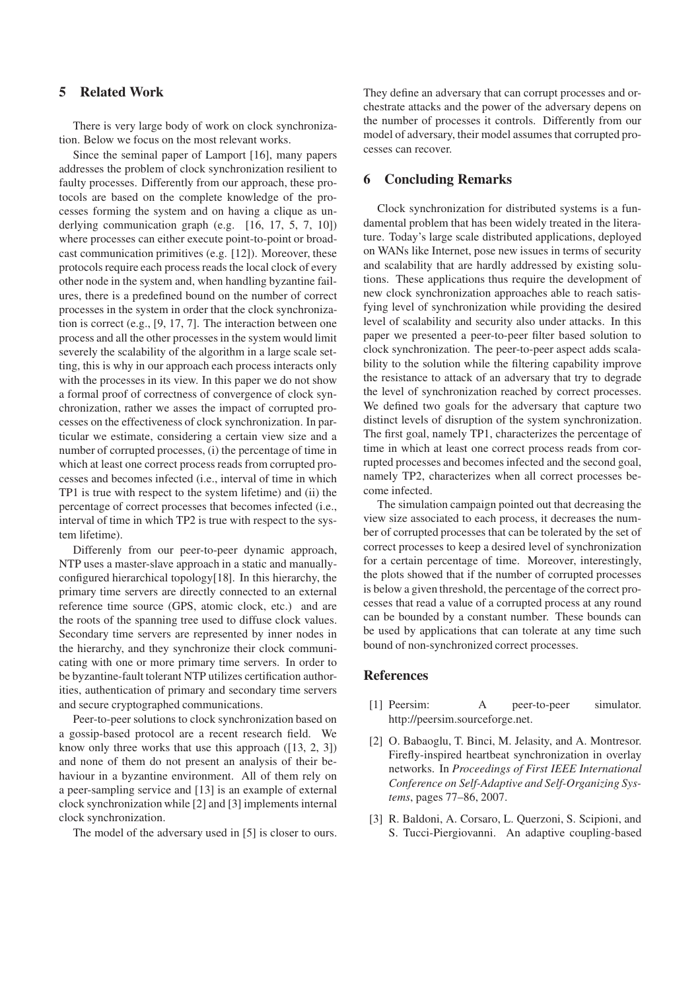## 5 Related Work

There is very large body of work on clock synchronization. Below we focus on the most relevant works.

Since the seminal paper of Lamport [16], many papers addresses the problem of clock synchronization resilient to faulty processes. Differently from our approach, these protocols are based on the complete knowledge of the processes forming the system and on having a clique as underlying communication graph (e.g. [16, 17, 5, 7, 10]) where processes can either execute point-to-point or broadcast communication primitives (e.g. [12]). Moreover, these protocols require each process reads the local clock of every other node in the system and, when handling byzantine failures, there is a predefined bound on the number of correct processes in the system in order that the clock synchronization is correct (e.g., [9, 17, 7]. The interaction between one process and all the other processes in the system would limit severely the scalability of the algorithm in a large scale setting, this is why in our approach each process interacts only with the processes in its view. In this paper we do not show a formal proof of correctness of convergence of clock synchronization, rather we asses the impact of corrupted processes on the effectiveness of clock synchronization. In particular we estimate, considering a certain view size and a number of corrupted processes, (i) the percentage of time in which at least one correct process reads from corrupted processes and becomes infected (i.e., interval of time in which TP1 is true with respect to the system lifetime) and (ii) the percentage of correct processes that becomes infected (i.e., interval of time in which TP2 is true with respect to the system lifetime).

Differenly from our peer-to-peer dynamic approach, NTP uses a master-slave approach in a static and manuallyconfigured hierarchical topology[18]. In this hierarchy, the primary time servers are directly connected to an external reference time source (GPS, atomic clock, etc.) and are the roots of the spanning tree used to diffuse clock values. Secondary time servers are represented by inner nodes in the hierarchy, and they synchronize their clock communicating with one or more primary time servers. In order to be byzantine-fault tolerant NTP utilizes certification authorities, authentication of primary and secondary time servers and secure cryptographed communications.

Peer-to-peer solutions to clock synchronization based on a gossip-based protocol are a recent research field. We know only three works that use this approach ([13, 2, 3]) and none of them do not present an analysis of their behaviour in a byzantine environment. All of them rely on a peer-sampling service and [13] is an example of external clock synchronization while [2] and [3] implements internal clock synchronization.

The model of the adversary used in [5] is closer to ours.

They define an adversary that can corrupt processes and orchestrate attacks and the power of the adversary depens on the number of processes it controls. Differently from our model of adversary, their model assumes that corrupted processes can recover.

### 6 Concluding Remarks

Clock synchronization for distributed systems is a fundamental problem that has been widely treated in the literature. Today's large scale distributed applications, deployed on WANs like Internet, pose new issues in terms of security and scalability that are hardly addressed by existing solutions. These applications thus require the development of new clock synchronization approaches able to reach satisfying level of synchronization while providing the desired level of scalability and security also under attacks. In this paper we presented a peer-to-peer filter based solution to clock synchronization. The peer-to-peer aspect adds scalability to the solution while the filtering capability improve the resistance to attack of an adversary that try to degrade the level of synchronization reached by correct processes. We defined two goals for the adversary that capture two distinct levels of disruption of the system synchronization. The first goal, namely TP1, characterizes the percentage of time in which at least one correct process reads from corrupted processes and becomes infected and the second goal, namely TP2, characterizes when all correct processes become infected.

The simulation campaign pointed out that decreasing the view size associated to each process, it decreases the number of corrupted processes that can be tolerated by the set of correct processes to keep a desired level of synchronization for a certain percentage of time. Moreover, interestingly, the plots showed that if the number of corrupted processes is below a given threshold, the percentage of the correct processes that read a value of a corrupted process at any round can be bounded by a constant number. These bounds can be used by applications that can tolerate at any time such bound of non-synchronized correct processes.

#### References

- [1] Peersim: A peer-to-peer simulator. http://peersim.sourceforge.net.
- [2] O. Babaoglu, T. Binci, M. Jelasity, and A. Montresor. Firefly-inspired heartbeat synchronization in overlay networks. In *Proceedings of First IEEE International Conference on Self-Adaptive and Self-Organizing Systems*, pages 77–86, 2007.
- [3] R. Baldoni, A. Corsaro, L. Querzoni, S. Scipioni, and S. Tucci-Piergiovanni. An adaptive coupling-based